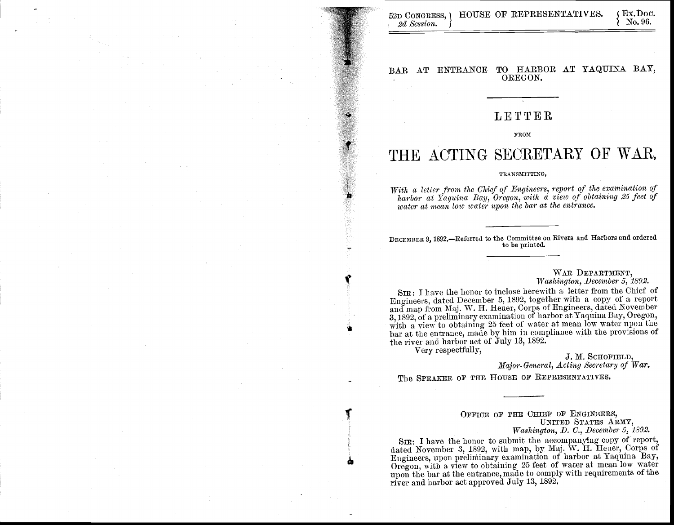#### BAR AT ENTRANCE TO HARBOR AT YAQUINA BAY, OREGON.

## $\mathbf{L} \mathbf{E} \mathbf{T} \mathbf{T} \mathbf{E} \mathbf{R}$

#### FROM FROM

# THE ACTING SECRETARY OF WAR,

#### $\tt{TRANSMITTING}{}{,}$

With a letter from the Chief of Engineers, report of the examination of harbor at Yaquina Bay, Oregon, with a view of obtaining 25 feet of water at mean low water upon the bar at the entrance.

 $D$ ECEMBER 9, 1892.—Referred to the Committee on Rivers and Harbors and ordered to be printed. to be printed'

#### WAR, DEPARTMENT, Washington, December 5, 1892.

 $SIR: I have the honor to inclose herewith the author is a letter from the Chief of$  $\widetilde{\text{Engineering}}$ , dated December 5, 1892, together with a copy of a report and map from Maj. W. H. Heuer, Corps of Engineers, dated November 3, 1892, of a preliminary examination of harbor at Yaquina Bay, Oregon, with a view to obtaining  $25$  feet of water at mean low water upon the  $\frac{1}{2}$  bar at the entrance, made by him in compliance with the provisions of the river and harbor act of July 13, 1892. from Maj. W. H. Heuer, Corps of Engineers, dated November 3, 1892, of a preliminary examination of harbor at Yaquina Bay, Oregon,

Very respectfully,

f

I

{

A

Very respectfully,  $J. M. S$ CHOFIELD, Major-General, Acting Secretary of War.

The SPEAKER OF THE HOUSE OF REPRESENTATIVES.

#### OFFICE OF THE CHIEF OF ENGINEERS, UNITED STATES ARMY,  $Washington, D. C., December 5, 1892.$

SIR: I have the honor to submit the accompanying copy of report,<br>dated November 3, 1892, with map, by Maj. W. H. Heuer, Corps of<br>Engineers, upon preliminary examination of harbor at Yaquina Bay,<br>Oregon, with a view to obta pon the bar at the entrance, made to comply with requirements of the river and harbor act approved July 13, 1892. river andharbor act approved July 13, 1892. SIR: I have the honor to submit the accompanying copy of report, dated November 3, 1892, with map, by Maj. W. H. Heuer, Corps of Engineers, upon preliminary examination of harbor at Yaquina Bay,  $\Omega$  organisation, with a view to obtaining 25 feet of water at mean low water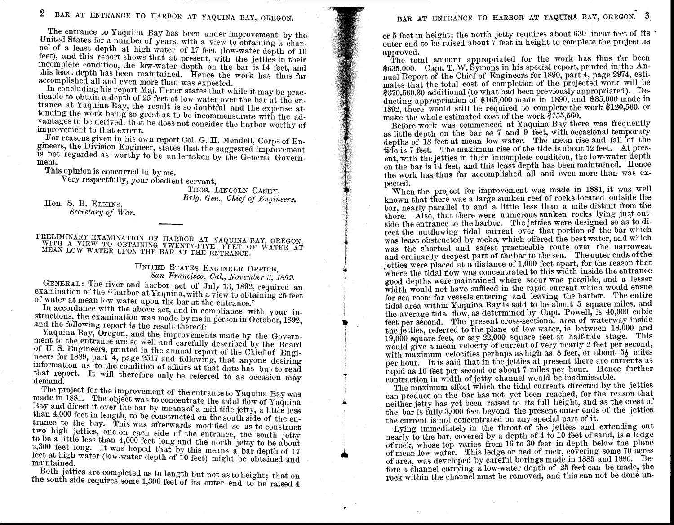## 2 BAR AT ENTRANCE TO HARBOR AT YAQIJINA BAY, OREGON. 2 BAR AT ENTRANCE To HARBoR AT YAQUINA BAY, oREGoN.

The entrance to Yaquina Bay has been under improvement by the<br>
United States for a number of years, with a view to obtaining a chan-<br>
United States for a mumber of 17 feet (low-water depth of 10<br>
feet), and this report sh The entrance to Yaquina Bay has been under improvement by the United States for a number of years, with a view to obtaining a chan-<br>nel of a least depth at high water of 17 feet (low-water depth of 10 feet), and this report shows that at present, with the jetties in their incomplete condition, the low-water depth on the bar is 14 feet, and this least depth has been maintained. Hence the work has thus far accomplished al this least depth has been maintained. Hence the work has thus far

In concluding his report Maj. Hener states that while it may be prac-<br>ticable to obtain a depth of 25 feet at low water over the bar at the entrance at Yaquina Bay, the result is so doubtful and the expense attending the work being so great as to be incommensurate with the advantages to be derived, that he does not consider the harbor worthy of improvement to th

gineers, the Division Engineer, states that the suggested improvement is not regarded as worthy to be undertaken by the General Government.

This opinion is concurred in by me.

Very respectfully, your obedient servant,

Thos. LINCOLN CASEY,  $Brig. \text{ Gen.}, \text{ Chief of Engineers.}$  Hon. S. B. ELKINS,

 $\leftarrow$ 

\*

4 I

I

Secretary of War. Secretarg of War. Hon. S. B. ELKINS,

### PRELIMINARY EXAMINATION OF HARBOR AT YAQUINA BAY, OREGON, WITH A VIEW TO OBTAINING TWENTY-FIVE FEET OF WATER AT MEAN LOW WATER UPON THE BAR AT THE ENTRANCE. WITH A VIEW TO OBTAINING TWENTY-FIVE FEET OF WATER A MEAN LOW WATER UPON THE BAR AT THE ENTRANCE.

## UNITED STATES ENGINEER OFFICE,

 $San$  Francisco, Cal., November 3, 1892.<br>
ENERAL: The river and harbor act of July 13, 1892, required an examination of the "harbor at Yaquina, with a view to obtaining 25 feet<br>
of water at mean low water upon the bar at t

examination of the "narbor at Yaquina, with a view to obtaining 25 feet<br>of water at mean low water upon the bar at the entrance."<br>In accordance with the above act, and in compliance with your in-<br>structions, the examinatio

In accordance with the above act, and in compliance with your instructions, the examination was made by me in person in October, 1892, and the following report is the result thereof: Yaquina Bay, Oregon, and the improvemen and the following report is the result thereof:<br>Yaquina Bay, Oregon, and the improvements made by the Government to the entrance are so well and carefully described by the Board<br>of U.S. Engineers, printed in the annual rep neers for 1889, part  $\frac{1}{4}$ , page 2517 and following, that anyone desiring information as to the condition of affairs at that date has but to read information as to the condition of affairs at that date has but to read mformation as to the condition of affairs at that date has but to read that report. It will therefore only be referred to as occasion may demand.

The project for the improvement of the entrance to Yaquina Bay was Bay and direct it over the bar by means of a mid-tide jetty, a little less<br>than 4,000 feet in length, to be constructed on the south side of the en-<br>trance to the bay. This was afterwards modified so as to construct<br>two h made The project for the improvement of the entrance to Yaquina Bay was made in 1881. The object was to concentrate the tidal flow of Yaquina Bay and direct it over the bar by means of a mid-tide jetty, a little less  $\frac{1}{\alpha}$ Bay and direct it over the bar by means of a mid-tide jetty, a little less<br>than 4,000 feet in length, to be constructed on the south side of the en-<br>trance to the bay. This was afterwards modified so as to construct<br>two h

Both jetties are completed as to length but not as to height; that on<br>the south side requires some  $1,300$  feet of its outer end to be raised  $4$ 

or 5 feet in height; the north jetty requires about 630 linear feet of its  $\cdot$ outer end to be raised about  $\tilde{\tau}$  feet in height to complete the project as approved.

approved. The total amount appropriated for the work has thus far been totat amount appropriated. for the work has thus far been \$635,000. Capt. T. W. Symons in his special report, printed in the Annual Report of the Chief of Engineers for 1890, part 4, page 2974, estimates that the total cost of completion of the projected work will be \$370,560.30 additional (to what had been previously appropriated). De-gjZO.SOO.SO addjtioual (to what had. been previously appropriated). Deducting appropriation of  $$165,000$  made in  $1890$ , and  $$85,000$  made in 1892, there would still be required to complete the work  $$120,560$ , or make the whole estimated cost of the work  $$755,560$ .

Before work was commenced at Yaquina Bay there was frequently Before work was.commenced at Yaquina Bay thero was frequently as little depth on the bar as 7 and 9 feet, with occasional temporary<br>depths of 13 feet at mean low water. The mean rise and fall of the tide is 7 feet. The maximum rise of the tide is about 12 feet. At pres-tide is 7 feet. Tbe maximlm rise of the tide is about L2feet. At pres ent, with the jetties in their incomplete condition, the low-water depth on the bar is  $14$  feet, and this least depth has been maintained. Hence the work has thus far accomplished all and even more than was ex-the work has thus far accomplishetl all and even more than was exas little depth on the bar as 7 and 9 feet, with occasional temporary pected.

pected.<br>When the project for improvement was made in  $1881$ , it was well known that there was a large sunken reef of rocks located outsidethe known that tfrere was a larfre sunken reef of rocks locatecl outside the bar, nearly parallel to and a little less than a mile distant from the shore. Also, that there were uumerous sunken rocks lying just out-<br>side the entrance to the harbor. The jetties were designed so as to direct the outflowing tidal current over that portion of the bar which was least obstructed by rocks, which offered the best water, and which  $\frac{1}{2}$ was the shortest and safest practicable route over the narrowest and ordinarily deepest part of the bar to the sea. The outer ends of the  $j$ etties were placed at a distance of  $1,000$  feet apart, for the reason that where the tidal flow was concentrated to this width inside the entrance  $\frac{1}{2}$  good depths were maintained where scour was possible, and a lesser width would not have sufficed in the rapid current which would ensue  $\frac{1}{2}$  for sea room for vessels entering and leaving the harbor. The entire tidal area within Yaquina Bay is said to be about  $5$  square miles, and tidal area within Yaquina Bay is said to be about  $5$  square miles, and the average tidal flow, as determined by Capt. Powell, is  $40,000$  cubic the average tidal flow, as determined by Capt. Powell, is  $40,000$  cubic the jetties, referred to the plane of low water, is between 18,000 and<br>the jetties, referred to the plane of low water, is between 18,000 and feet per second. The present cross-sectional area of waterway inside  $19,000$  square feet, or say  $22,000$  square feet at half-tide stage. This would give a mean velocity of current of very nearly 2 feet per second, with maximum velocities perhaps as high as  $8 \text{ feet}$ , or about  $5\frac{1}{2}$  miles per hour. It is said that in the jetties at present there are currents as per hour. To is such that in the year of per hour. Hence further rapid as 10 feet per second or about 7 miles per hour. Hence further side the entrance to the harbor. The jetties were designed so as to dicontraction in width of jetty channel would be inadmissable.

 $\frac{1}{\text{cotraction}}$  in width of jetty channel would be inadmissable.<br>The maximum effect which the tidal currents directed by the jetties ean produce on the bar has not yet been reached, for the reason that neither jetty has yet been raised to its full height, and as the crest of fully 3,000 feet beyond the present outer ends of the jetties the current is not concentrated on any special part of it.

the current is not concentrated on any special part of it.<br>Lying immediately in the throat of the jetties and extending out<br> $\frac{1}{2}$  is a ledge nearly to the bar, covered by a depth of  $4$  to 10 feet of sand, is a ledge of rock, whose top varies from  $16$  to 30 feet in depth below the plane of mean low water. This ledge or bed of rock, covering some  $70$  acres of area, was developed by careful borings made in 1885 and 1886. Before a channel carrying a low-water depth of 25 feet can be made, the rock within the channel must be removed, and this can not be done un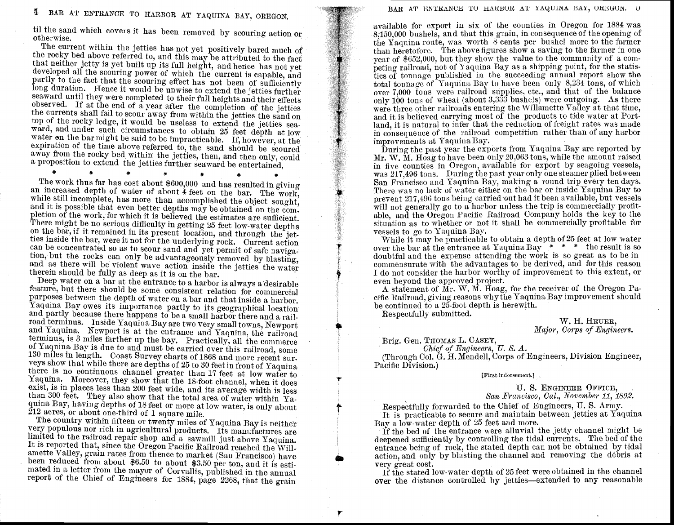til the sand which covers it has been removed by scouring action or otherwise. til the sand which covers it has been removed by seouring action or otherwise.

The current within the jetties has not yet positively bared much of<br>the rocky bed above referred to, and this may be attributed to the fact<br>that neither jetty is yet built up its full height, and hence has not yet<br>develop The current within the jetties has not yet positively bared much of<br>the rocky bed above referred to, and this may be attributed to the fact<br>that neither jetty is yet built up its full height, and hence has not yet<br>develope away from the rocky bed within the jetties, then, and then only, could a proposition to extend the jetties further seaward be entertained.

The work thus far has cost about \$600,000 and has resulted in giving<br>an increased depth of water of about 4 feet on the bar. The work,<br>while still incomplete, has more than accomplished the object sought,<br>and it is possib The work thus far has cost about \$600,000 and has resulted in giving an increased depth of water of about 4 feet on the bar. The work, an increased depth of water of about 4 feet on the bar. The work, while still incomplete, has more than accomplished the object sought, and it is possible that even better depths may be obtained on the completion of the work, for which it is believed the estimates are sufficient.<br>There might be no serious difficulty in getting  $25$  feet low-water depths pletion of the work, for which it is believed the estimates are sufficient. on the bar, if it remained in its present location, and through the jetties inside the bar, were it not for the underlying rock. Current action can be concentrated so as to scour sand and yet permit of safe navigation, but the rocks can only be advantageously removed by blasting,<br>and as there will be violent wave action inside the jetties the water<br>therein should be fully as deep as it is on the bar.<br>Deep water on a bar at the entr

purposes between the depth of water on a bar and that inside a harbor.<br>Yaquina Bay owes its importance partly to its geographical location<br>and partly because there happens to be a small harbor there and a rail-<br>road termin feature, but there should be some consistent relation for commercial<br>purposes between the depth of water on a bar and that inside a harbor.<br>Yaquina Bay owes its importance partly to its geographical location<br>and partly bec road terminus. Inside Yaquina Bay are two very small towns, Newport and Yaquina. Rewport is-at the entrance and Yaquina, the railroad terminus, is 3 miles farther up the bay. Practically, all the commerce of Vecuine Baris farther up the bay. Practically, all the commerce of Yaquina Bay is due to and must be carried over this railroad, some 130 miles in length. Coast Survey charts of 1868 and more recent surveys show that while there are depths of 25 to 30 feet in front of Yaquina there is no continuous channel greater than 17 feet at low water to Yaquina. Moreover, they show that the 18-foot channel, when it does exist, is in places less than 200 feet wide, and its average width is less than 300 feet. They also show that the total area of water within Yaquina Bay, having depths of 18 feet or more at low water, is only about 212 acres, or about one-third of 1 square mile.

veys show that while there are depths of 25 to 30 feet in front of Yaquina<br>there is no continuous channel greater than 17 feet at low water to<br>Yaquina. Moreover, they show that the 18-foot channel, when it does<br>exist, is i The country within fifteen or twenty miles of Yaquina Bay is neither very populous nor rich in agricultural products. Its manufactures are limited to the railroad repair shop and a sawmill just above Yaquina. It is reported that, since the Oregon Pacific Railroad reached the Willamette Valley, grain rates from thence to market (San Francisco) have<br>been reduced from about \$6.50 to about \$3.50 per ton, and it is estimated in a letter from the mayor of Corvallis, published in the annual report of the Chief of Engineers for 1884, page 2268, that the grain

## BAR AT ENTRANCE TO HAKBOR AT YAQUINA BAY, OKEGON. U

available for export in six of the counties in Oregon for 1884 was 8,150,000 bushels, and that this grain, in consequence of the opening of 8,150,000 bushels, and that this grain, in consequenceof theopening of the Yaquina route, was worth 8 cents per bushel more to the farmer than heretofore. The above figures show a saving to the farmer in one<br>year of \$652,000, but they show the value to the community of a com-<br>peting railroad, not of Yaquina Bay as a shipping point, for the statistics of tonnage published in the succeeding annual report show the tics of tonnage published in the succeecling annual report show tho total tonnage of Yaquina Bay to have been only 8,234 tons, of which<br>over 7,000 tons were railroad supplies, etc., and that of the balance<br>only 100 tons of wheat (about 3,333 bushels) were outgoing. As there<br>were three othe and it is believed carrying most of the products to tide water at Port-<br>land it is patural to infer that the reduction of freight rates was made land, it is natural to infer that the reduction of freight rates was made in consequence of the railroad competition rather than of any harbor available for export in six of the counties in Oregon for 1884 was than heretofore. The above figures show a saving to the farmer in one vear of \$052,000, but they show the value to the community of a comtotal tonnage of Yaquina Bay to have been only 8,234 tons, of which over 7,000 tons were railroad supplies, etc., and that of tho balance only 100 tons of wheat (about  $3,3\overline{3}3$  bushels) were outgoing. As there were three other railroads entering the Willamette Valley at that time, improvements at Yaquina Bay.

improvements at Yaquina Bay.<br>During the past year the exports from Yaquina Bay are reported by<br>Mr. W. M. Hoag to have been only 20,063 tons, while the amount raised in five counties in Oregon, available for export by seagoing vessels, was 217,496 tons. During the past year only one steamer plied between San Francisco and Yaquina Bay, making a round trip every ten days. There was no lack of water either on the bar or inside Yaquina Bay to prevent 217,496 tons being carried out had it been available, but vessels will not generally go to a harbor unless the trip is commercially profit- able, and the Oregon Pacific Railroad Company holds the key to the situation as to whether or not it shall be commercially profitable for During the past year the exports from Yaquina Bay are reported by was 217,496 tons. During the past year only one steamer plied between San Francisco and Yaquina Bay, making a round trip every ten days. There was no lack of water either on the bar or inside Yaquina Bay to prevent 217,496 tons being carried out had it been available, but vessels will not generally go to a harbor unless the trip is-commercially profitable, and the Oregon Pacific Railroad Company holds the key to the vessels to go to Yaquina Bay.

vessels to go to Yaquina Bay.<br>While it may be practicable to obtain a depth of 25 feet at low water over the bar at the entrance at Yaquina Bay  $* * * *$  the result is so doubtful and the expense attending the work is so great as to be in-<br>commensurate with the advantages to be derived, and for this reason I do not consider the harbor worthy of improvement to this extent, or I do not consider the harbor worthy of inprovemeut to this extent, or commensurate with tho advantages to be derived, and for this reason even beyond the approved project.

even beyond the approved project.<br>A statement of Mr. W. M. Hoag, for the receiver of the Oregon Pa-<br>cific Railroad, giving reasons why the Yaquina Bay improvement should be continued to a 25-foot depth is herewith. be continuecl to a 25-foot depth is herewith. A statement of  $\bar{\rm Mr}$ . W.  $\bar{\rm M}$ . Hoag, for the receiver of the Oregon Pacific Railroad, giving reasons why the Yaquina Bay improvement should

Respectfully submitted. W. H. HEUER,

I

fi

I { \*

!

W. H. HEUER, Major, Corps of Engineers.

Brig. Gen. Thomas L. Casey,  $\sim$ 

 $\emph{Chief of Engineers}, [U.~S.~A.]$ (Through Col. G. H. Mendell, Corps of Engineers, Division Engineer, Pacific Division.)

[First indorsement.]  $\overline{\phantom{a}}$ 

U. S. ENGINEER OFFICE, San Francisco, Cal., November 11, 1892.

Respectfully forwarded to the Chief of Engineers, U.S. Army.<br>It is practicable to secure and maintain between jetties at Yaquina<br>Bay a low-water depth of 25 feet and more.<br>If the bed of the entrance were alluvial the jetty Respectfully forwarded to the Chief of Engineers, U.S. Army. It is practicable to secure and maintain between jetties at Yaquina Bay a low-water depth of 25 feet and more.

entrance being of rock, the stated depth can not be obtained by tidal action, and only by blasting the channel and removing the débris at If the bed of the entrance were alluvial the jetty channel might be entrance being of rock, the stated depth can not be obtained by tidal Yery great cosi.

very great cost.<br>If the stated low-water depth of 25 feet were obtained in the channel<br>over the distance controlled by jetties—extended to any reasonable If the stated low-water depth of  $25$  feet were obtained in the channel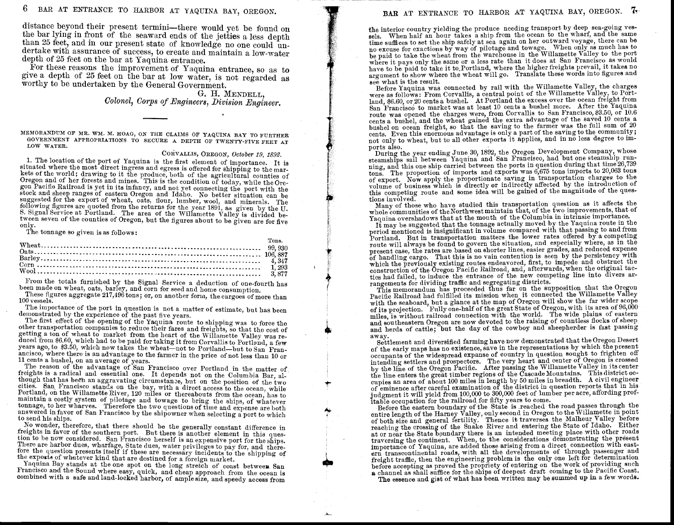distance beyond their present termini—there would yet be found on the bar lying in front of the seaward ends of the jetties a less depth than 25 feet, and in our present state of knowledge no one could undertake with assurance of success, to create and maintain a low-water<br>depth of 25 feet on the bar at Yaquina entrance.<br>For these reasons the improvement of Yaquina entrance, so as to distance beyond their present termini—there would yet be found on the bar lying in front of the seaward ends of the jetties a less depth the bar lying in front of the seaward ends of the jetties a less depth<br>than 25 feet, and in our present state of knowledge no one could un-<br>dertake with assurance of success, to create and maintain a low-water<br>depth of 25

give a depth of 25 feet on the bar at low water, is not regarded as worthy to be undertaken by the General Government.

> G. H. MENDELL, Colonel, Corps of Engineers, Division Engineer.

MEMORANDUM OF MR. WM. M. HOAG, ON THE CLAIMS OF YAQUINA BAY TO FURTHER GOVERNMENT APPROPRIATIONS TO SECURE A DEPTH OF TWENTY-FIVE FEET AT LOW WATER.

CORVALLIS, OREGON, October 19, 1892.<br>
1. The location of the port of Yaquina is the first element of importance. It is<br>
situated where the most direct ingress and egress is offered for shipping to the mar-<br>
kets of the wor stock and sheep ranges of eastern Oregon and Idaho. No better situation can be suggested for the export of wheat, oats, flour, lumber, wool, and minerals. The following figures are quoted from the returns for the year 1891 CORVALLIS, OREGON, October 19, 1892.<br>1. The location of the port of Yaquina is the first element of importance. It is situated where the most direct ingress and egress is offered for shipping to the markets of the world; drawing to it the produce, both of the cross Oregon and of her forests and mines. This is the condition of today, while the Oregon Pacific Railroad is yet in its infancy, and not yet connecting the port with the stock and sheep ranges of eastern Oregon and Idaho. No better situation can be suggested for the export of wheat, oats, flour, lumber, wo following figures are quoted from the returns for the year 1891, as given by the U.<br>S. Signal Service at Portland. The area of the Willamette Valley is divided be-<br>tween seven of the counties of Oregon, but the figures abo

I'he tonnago so given is as follows:

| 293  |  |
|------|--|
| -975 |  |

From the totals furnished by the Signal Service a deduction of one-fourth has been made on wheat, oats, barley, and corn for seed and home consumption.<br>These figures aggregate 217,496 tons; or, on another form, the cargoes From the totals furnished by the Signal Service a deduction of one-fourth has been made on wheat, oats, barley, and corn for seed and home consumption.

 $100$  vessels.

The importance of the port in question is not a matter of estimate, but has been demonstrated by the experience of the past five years.

The first effect of the opening of the Yaquina route to shipping was to force the other transportation companies to reduce their fares and freights, so that the cost of getting a ton of wheat to market from the heart of the Willamette Valley was re-<br>duced from \$6.60, which had to be paid for taking it from Corvallis to Portland, a few<br>years ago, to \$3.50, which now takes the wheat—not to ancisco, where there is an advantage to the farmer in the price of not less than 10 or 11 cents a bushel, on an average of years.<br>The reason of the advantage of San Francisco over Portland in the matter of

The importance of the port in question is not a matter of estimate, but has been<br>demonstrated by the experience of the past five years.<br>The first effect of the opening of the Yaquina route to shipping was to force the<br>oth freights is a radical and essential one. It depends not on the Columbia Bar, although that has been an aggravating circumstance, but on the position of the two cities. San Francisco stands on the bay, with a direct access to the ocean, while Portland, on the Willamette River, 120 miles or thereabouts maintain a costly system of pilotage and towage to bring the ships, of whatever tonnage, to her wharves. Therefore the two questions of time and expense are both answered in favor of San Francisco by the shipowner when sel

No wonder, therefore, that there should be the generally constant difference in<br>freights in favor of the southern port. But there is another element in this ques-<br>tion to be now considered. San Francisco herself is an expe No wonder, therefore, that there should be the generally constant difference in freights in favor of the southern port. But there is another element in this question to be now considered. San Francisco herself is an expensive port for the ships. fore the question presents itself if these are necessary incidents to the shipping of<br>the exports of whatever kind that are destined for a foreign market.

the exports of whatever kind that are destined for a foreign market.<br>Taquina Bay stands at the one spot on the long stretch of coast between San Francisco and the Sound where easy, quick, and cheap approach from the ocean

### BAR AT ENTRANCE TO HARBOR AT YAQUINA BAY, OREGON. 7.

the interior country yielding the produce needing transport by deep sea-going vessels. When half an hour takes a ship from the ocean to the wharf, and the same time suffices to set the ship safely at sea again on her outward voyage, there can be<br>interested by safely at sea again on her outward voyage, there can be no excuse for exactions by way of pilotage and towage... When only as much has to no excuse for exactions by way or photogo and component to Willamette Valley to the port be paid to take the wheat from the warehouse in the Willamette Valley to the port where it pays only the same or a less rate than it does at San Francisco as would have to be paid to take it to.Portland, where the higher freights prevail, it takes no<br>have to be paid to take it to.Portland, where the higher freights prevail, it takes no have to so plate to take it to greenlas, where the wheat will go. Translate these words into figures and see what is the result.

see what is the result.<br>Before Yaquina was connected by rail with the Willamette Valley, the charges<br>were as follows: From Corvallis, a central point of the Willamette Valley, to Portland,  $$6.60$ , or 20 cents a bushel. At Portland the excess over the ocean freight from San Francisco to market was at least 10 cents a bushel more. After the Yaquina route was opened the charges were, from Corvallis to San Francisco,  $$3.50$ , or  $10.6$ route was opened the charges were, not corruns to say a remain saved 10 cents a cents a bushel, and the wheat gained the extra advantage of the saved 10 cents a bushel on ocean freight, so that the saving to the farmer was the full sum of  $20$ <br>bushel on ocean freight, so that the saving to the farmer was the full sum of  $20$ bushed on ocean frieght, so that the saving to and the saving to the community;<br>cents. Even this enormous advantage is only a part of the saving to the community; cents. Even this chormous advantage to enry a process in applies, and in no less degree to im-Before Yaquina was connected by rail with the Willamette Valley, the charges

ports also.<br>During the year ending June 30, 1892, the Oregon Development Company, whose Luring that we have a statements and San Francisco, had but one steamship run-<br>hing, and this one ship carried between the ports in question during that 190.023.439  $t_{\rm obs}$ . The proportion of imports and exports was 6,675 tons imports to 20,063 tons tons. The proportion of imports and exports was 0,075 tons diports to 20,006 cons<br>of export. Now apply the proportionate saving in transportation charges to the of export. Now apply one proportionate called the introduction of volume of business which is directly or indirectly affected by the introduction of volume of business which is directly of indirectly directed by the magnitude of the ques-<br>this competing route and some idea will be gained of the magnitude of the quessteamships sail between Yaquina and San Francisco, had but one steamship runtions involved.

tions involved.<br>Many of those who have studied this transportation question as it affects the whole communities of the Northwest maintain that, of the two improvements, that of Yaquina overshadows that at the mouth of the Columbia in-intrinsic importance.

Yaquina overshadows that at the mouth of the Columbia in intrinsic importance.<br>It may be suggested that the tonnage actually moved by the Yaquina route in the<br>period mentioned is insignificant in volume compared with that Portland. But in transportation matters the lower rates offered by a competing<br>"competing" is the iower rates of ered by a competing Portiand. But in transportation matters the fower rates existence of  $\frac{1}{2}$  where, as in the present case, the rates are based on shorter lines, easier grades, and reduced expense present variably cargo. That this is no vain contention is seen by the persistency with which the previously existing routes endeavored, first, to impede and obstruct the construction of the Oregon Pacific Railroad, and, a of handling cargo. That this is no vain contention is seen by the persistency with minimum cursos. The construction of the Oregon Pacific Railroad, and, afterwards, when the original tac-<br>construction of the Oregon Pacific Railroad, and, afterwards, when the original tac-<br>tics had failed, to induce the e rangements for dividing traffic and segregating districts.

rangements for dividing traffic and segregating districts.<br>This memorandum has proceeded thus far on the supposition-that the Oregon Pacific Railroad had fulfilled its mission when it connected the Willamette Valley<br>Pacific Railroad had fulfilled its mission when it connected the Willamette Valley ractific trainbard had further the map of Oregon will show the far wider scope with the seaboard, but a glance at the map of Oregon will show the far wider scope with the projection. Fully one-half of the great State of Oregon, with its area of 96,000<br>miles, is without railroad connection with the world. The wide plains of eastern<br>miles, is without railroad connection with the worl and southeastern Oregon are now devoted to the raising of countless flocks of sheep and herds of cattle; but the day of the cowboy and sheepherder is fast passing away.

away.<br>Settlement and diversified farming have now demonstrated that the Oregon Desert of the early maps has no existence, save in the representations by which the present of the early maps has no existence, save in the representations by which the present occupants of the widespread expanse of country in question sought to frighten off intending settlers and prospectors. The very heart and center of Oregon is crossed meaning society and problems. After passing the Willamette Valley in its center<br>the line enters the great timber regions of the Cascade Mountains. This district oc-<br>tupies an area of about 100 miles in length by 50 miles i indgment it will yield from 100,000 to 300,000 feet of lumber per acre, affording profoccupants of the widespread expanse of country in question sought to frighten off<br>intending settlers and prospectors. The very heart and center of Oregon is crossed<br>by the line of the Oregon Pacific. After passing the Will itable occupation for the railroad for fifty years to come.

111 - Jan 111 - Jan 111 - Jan 111 - Jan 111 - Jan 111 - Jan 111 - Jan 111 - Jan 111 - Jan 111 - Jan 111 - Jan

 $\bullet$ 

Il \*

I 1i.  $\frac{1}{\sqrt{2}}$ (

t

\*

 $\blacktriangle$ t

 $\frac{1}{2}$ 

itable occupation for the railroad for fifty years to come.<br>Before the eastern boundary of the State is reached the road passes through the entire length of the Harney Valley, only second in Oregon to the Willamette in point before one can contain of the Harney Valley, only second in Oregon to the Willamette in point<br>of both size and general fertility. Thence it traverses the Malheur Valley before<br>reaching the crossing of the Snake River and e reaching the crossing or the State boundary there is an intended meeting place with other roads<br>at or near the State boundary there is an intended meeting place with other roads at of hear the state spin-air, when, to the considerations demonstrating the present traversing the continent. Which, to the considerations democration with east-<br>importance of Yaquina, are added those arising from a direct connection with eastimportance of Taquina, are added those arising from a direct confidence of through passenger and<br>ern transcontinental roads, with all the developments of through passenger and freight traffic, then the engineering problem is the only one left for determination reight trainc, then the engineering problem is the entry of exercise of providing such<br>before accepting as proved the propriety of entering on the work of providing such a channel as shall suffice for the ships of deepest draft coming to the Pacific Coast.

channel as shall sumed for the ships of deepest didn't colling on the summed up in a few words.